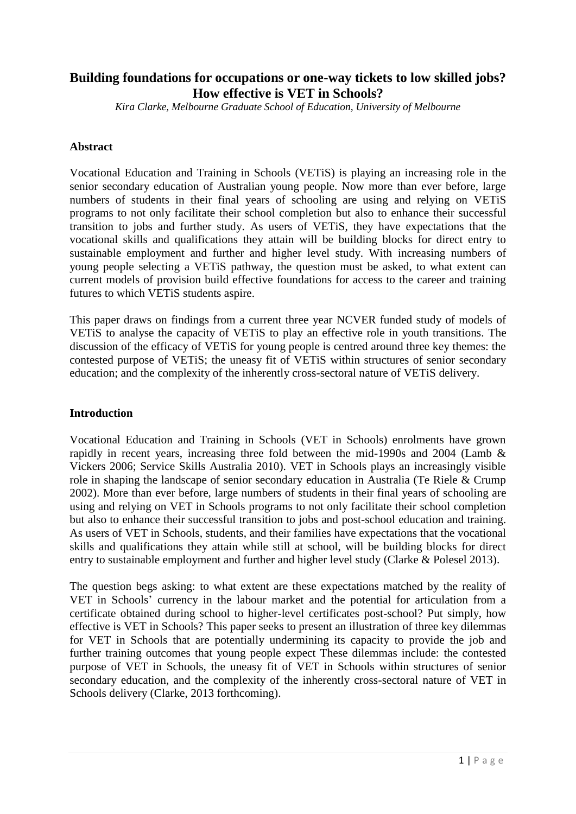# **Building foundations for occupations or one-way tickets to low skilled jobs? How effective is VET in Schools?**

*Kira Clarke, Melbourne Graduate School of Education, University of Melbourne*

### **Abstract**

Vocational Education and Training in Schools (VETiS) is playing an increasing role in the senior secondary education of Australian young people. Now more than ever before, large numbers of students in their final years of schooling are using and relying on VETiS programs to not only facilitate their school completion but also to enhance their successful transition to jobs and further study. As users of VETiS, they have expectations that the vocational skills and qualifications they attain will be building blocks for direct entry to sustainable employment and further and higher level study. With increasing numbers of young people selecting a VETiS pathway, the question must be asked, to what extent can current models of provision build effective foundations for access to the career and training futures to which VETiS students aspire.

This paper draws on findings from a current three year NCVER funded study of models of VETiS to analyse the capacity of VETiS to play an effective role in youth transitions. The discussion of the efficacy of VETiS for young people is centred around three key themes: the contested purpose of VETiS; the uneasy fit of VETiS within structures of senior secondary education; and the complexity of the inherently cross-sectoral nature of VETiS delivery.

## **Introduction**

Vocational Education and Training in Schools (VET in Schools) enrolments have grown rapidly in recent years, increasing three fold between the mid-1990s and 2004 (Lamb & Vickers 2006; Service Skills Australia 2010). VET in Schools plays an increasingly visible role in shaping the landscape of senior secondary education in Australia (Te Riele & Crump 2002). More than ever before, large numbers of students in their final years of schooling are using and relying on VET in Schools programs to not only facilitate their school completion but also to enhance their successful transition to jobs and post-school education and training. As users of VET in Schools, students, and their families have expectations that the vocational skills and qualifications they attain while still at school, will be building blocks for direct entry to sustainable employment and further and higher level study (Clarke & Polesel 2013).

The question begs asking: to what extent are these expectations matched by the reality of VET in Schools' currency in the labour market and the potential for articulation from a certificate obtained during school to higher-level certificates post-school? Put simply, how effective is VET in Schools? This paper seeks to present an illustration of three key dilemmas for VET in Schools that are potentially undermining its capacity to provide the job and further training outcomes that young people expect These dilemmas include: the contested purpose of VET in Schools, the uneasy fit of VET in Schools within structures of senior secondary education, and the complexity of the inherently cross-sectoral nature of VET in Schools delivery (Clarke, 2013 forthcoming).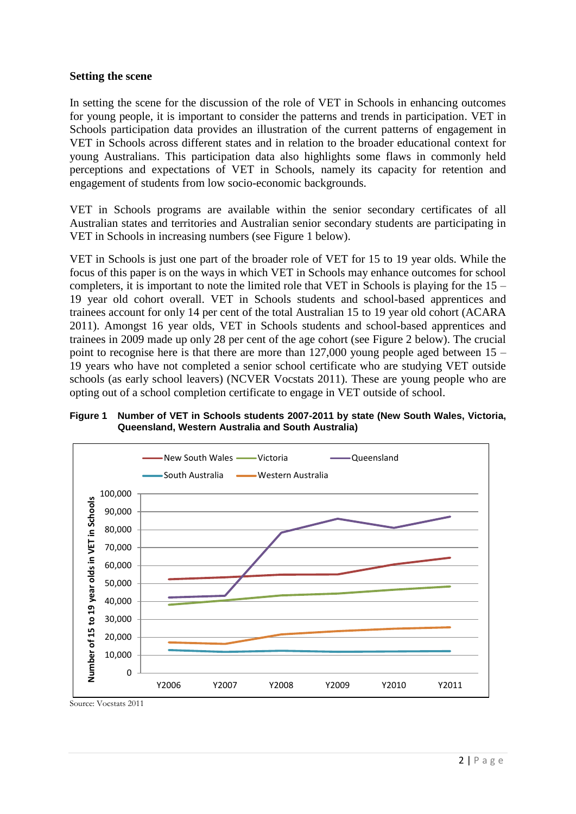#### **Setting the scene**

In setting the scene for the discussion of the role of VET in Schools in enhancing outcomes for young people, it is important to consider the patterns and trends in participation. VET in Schools participation data provides an illustration of the current patterns of engagement in VET in Schools across different states and in relation to the broader educational context for young Australians. This participation data also highlights some flaws in commonly held perceptions and expectations of VET in Schools, namely its capacity for retention and engagement of students from low socio-economic backgrounds.

VET in Schools programs are available within the senior secondary certificates of all Australian states and territories and Australian senior secondary students are participating in VET in Schools in increasing numbers (see Figure 1 below).

VET in Schools is just one part of the broader role of VET for 15 to 19 year olds. While the focus of this paper is on the ways in which VET in Schools may enhance outcomes for school completers, it is important to note the limited role that VET in Schools is playing for the 15 – 19 year old cohort overall. VET in Schools students and school-based apprentices and trainees account for only 14 per cent of the total Australian 15 to 19 year old cohort (ACARA 2011). Amongst 16 year olds, VET in Schools students and school-based apprentices and trainees in 2009 made up only 28 per cent of the age cohort (see Figure 2 below). The crucial point to recognise here is that there are more than 127,000 young people aged between 15 – 19 years who have not completed a senior school certificate who are studying VET outside schools (as early school leavers) (NCVER Vocstats 2011). These are young people who are opting out of a school completion certificate to engage in VET outside of school.





Source: Vocstats 2011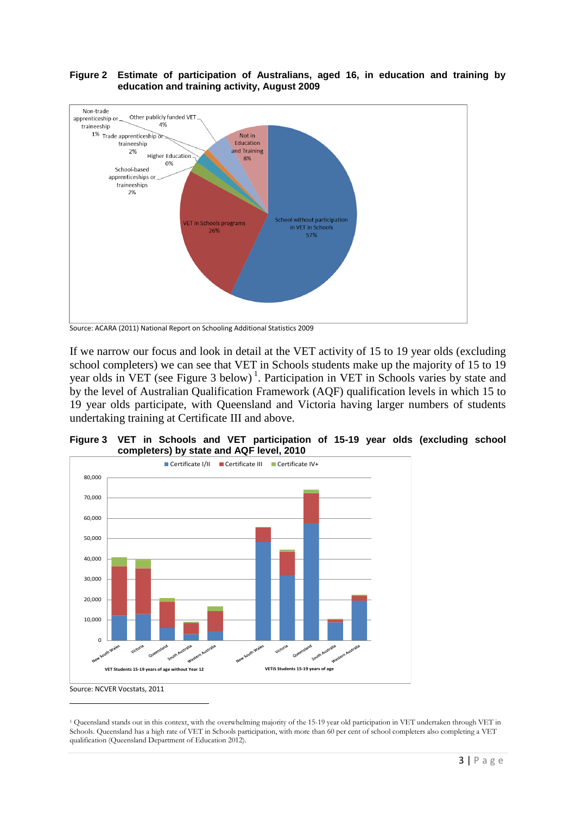

#### **Figure 2 Estimate of participation of Australians, aged 16, in education and training by education and training activity, August 2009**

Source: ACARA (2011) National Report on Schooling Additional Statistics 2009

If we narrow our focus and look in detail at the VET activity of 15 to 19 year olds (excluding school completers) we can see that VET in Schools students make up the majority of 15 to 19 year olds in VET (see Figure 3 below)<sup>1</sup>. Participation in VET in Schools varies by state and by the level of Australian Qualification Framework (AQF) qualification levels in which 15 to 19 year olds participate, with Queensland and Victoria having larger numbers of students undertaking training at Certificate III and above.





**.** 

<sup>1</sup> Queensland stands out in this context, with the overwhelming majority of the 15-19 year old participation in VET undertaken through VET in Schools. Queensland has a high rate of VET in Schools participation, with more than 60 per cent of school completers also completing a VET qualification (Queensland Department of Education 2012).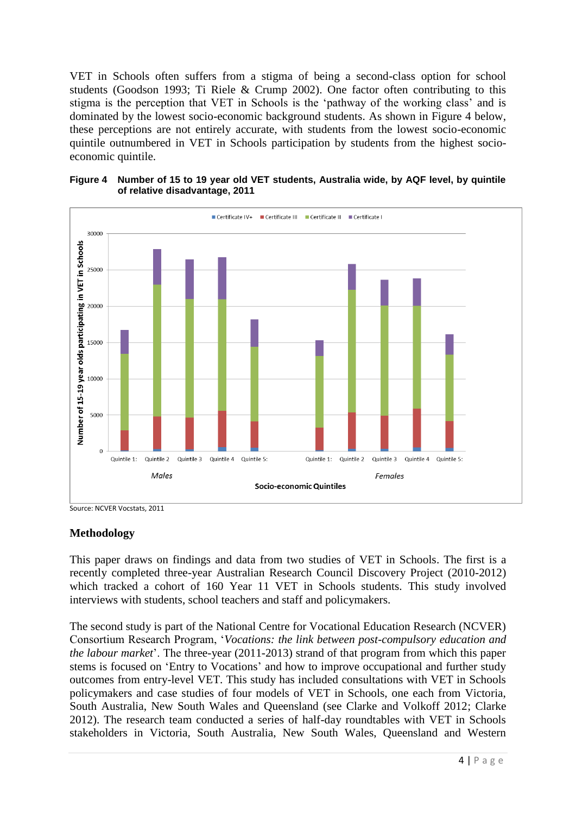VET in Schools often suffers from a stigma of being a second-class option for school students (Goodson 1993; Ti Riele & Crump 2002). One factor often contributing to this stigma is the perception that VET in Schools is the 'pathway of the working class' and is dominated by the lowest socio-economic background students. As shown in Figure 4 below, these perceptions are not entirely accurate, with students from the lowest socio-economic quintile outnumbered in VET in Schools participation by students from the highest socioeconomic quintile.





### **Methodology**

This paper draws on findings and data from two studies of VET in Schools. The first is a recently completed three-year Australian Research Council Discovery Project (2010-2012) which tracked a cohort of 160 Year 11 VET in Schools students. This study involved interviews with students, school teachers and staff and policymakers.

The second study is part of the National Centre for Vocational Education Research (NCVER) Consortium Research Program, '*Vocations: the link between post-compulsory education and the labour market*'. The three-year (2011-2013) strand of that program from which this paper stems is focused on 'Entry to Vocations' and how to improve occupational and further study outcomes from entry-level VET. This study has included consultations with VET in Schools policymakers and case studies of four models of VET in Schools, one each from Victoria, South Australia, New South Wales and Queensland (see Clarke and Volkoff 2012; Clarke 2012). The research team conducted a series of half-day roundtables with VET in Schools stakeholders in Victoria, South Australia, New South Wales, Queensland and Western

Source: NCVER Vocstats, 2011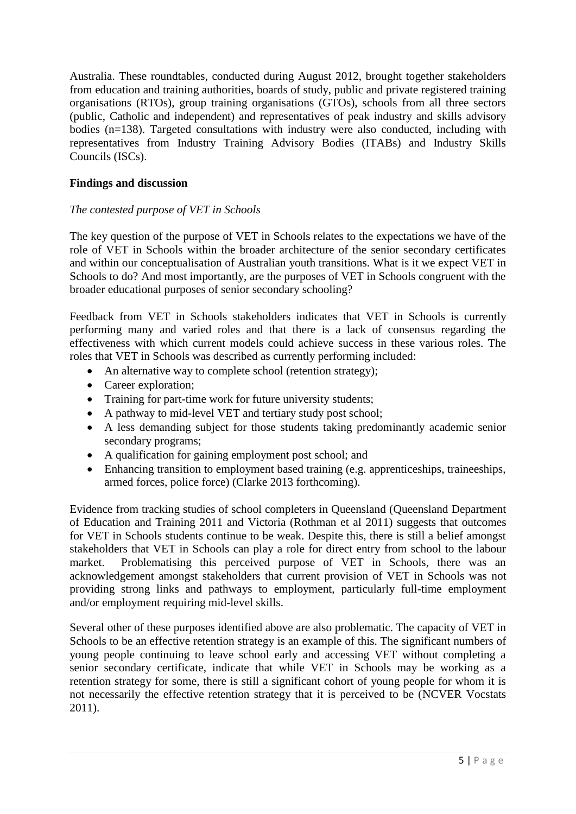Australia. These roundtables, conducted during August 2012, brought together stakeholders from education and training authorities, boards of study, public and private registered training organisations (RTOs), group training organisations (GTOs), schools from all three sectors (public, Catholic and independent) and representatives of peak industry and skills advisory bodies (n=138). Targeted consultations with industry were also conducted, including with representatives from Industry Training Advisory Bodies (ITABs) and Industry Skills Councils (ISCs).

## **Findings and discussion**

## *The contested purpose of VET in Schools*

The key question of the purpose of VET in Schools relates to the expectations we have of the role of VET in Schools within the broader architecture of the senior secondary certificates and within our conceptualisation of Australian youth transitions. What is it we expect VET in Schools to do? And most importantly, are the purposes of VET in Schools congruent with the broader educational purposes of senior secondary schooling?

Feedback from VET in Schools stakeholders indicates that VET in Schools is currently performing many and varied roles and that there is a lack of consensus regarding the effectiveness with which current models could achieve success in these various roles. The roles that VET in Schools was described as currently performing included:

- An alternative way to complete school (retention strategy);
- Career exploration:
- Training for part-time work for future university students;
- A pathway to mid-level VET and tertiary study post school;
- A less demanding subject for those students taking predominantly academic senior secondary programs;
- A qualification for gaining employment post school; and
- Enhancing transition to employment based training (e.g. apprenticeships, traineeships, armed forces, police force) (Clarke 2013 forthcoming).

Evidence from tracking studies of school completers in Queensland (Queensland Department of Education and Training 2011 and Victoria (Rothman et al 2011) suggests that outcomes for VET in Schools students continue to be weak. Despite this, there is still a belief amongst stakeholders that VET in Schools can play a role for direct entry from school to the labour market. Problematising this perceived purpose of VET in Schools, there was an acknowledgement amongst stakeholders that current provision of VET in Schools was not providing strong links and pathways to employment, particularly full-time employment and/or employment requiring mid-level skills.

Several other of these purposes identified above are also problematic. The capacity of VET in Schools to be an effective retention strategy is an example of this. The significant numbers of young people continuing to leave school early and accessing VET without completing a senior secondary certificate, indicate that while VET in Schools may be working as a retention strategy for some, there is still a significant cohort of young people for whom it is not necessarily the effective retention strategy that it is perceived to be (NCVER Vocstats 2011).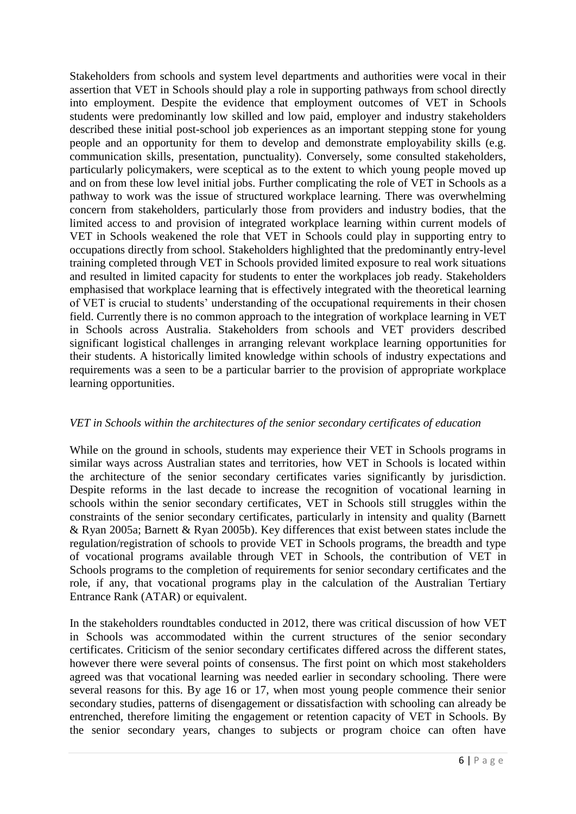Stakeholders from schools and system level departments and authorities were vocal in their assertion that VET in Schools should play a role in supporting pathways from school directly into employment. Despite the evidence that employment outcomes of VET in Schools students were predominantly low skilled and low paid, employer and industry stakeholders described these initial post-school job experiences as an important stepping stone for young people and an opportunity for them to develop and demonstrate employability skills (e.g. communication skills, presentation, punctuality). Conversely, some consulted stakeholders, particularly policymakers, were sceptical as to the extent to which young people moved up and on from these low level initial jobs. Further complicating the role of VET in Schools as a pathway to work was the issue of structured workplace learning. There was overwhelming concern from stakeholders, particularly those from providers and industry bodies, that the limited access to and provision of integrated workplace learning within current models of VET in Schools weakened the role that VET in Schools could play in supporting entry to occupations directly from school. Stakeholders highlighted that the predominantly entry-level training completed through VET in Schools provided limited exposure to real work situations and resulted in limited capacity for students to enter the workplaces job ready. Stakeholders emphasised that workplace learning that is effectively integrated with the theoretical learning of VET is crucial to students' understanding of the occupational requirements in their chosen field. Currently there is no common approach to the integration of workplace learning in VET in Schools across Australia. Stakeholders from schools and VET providers described significant logistical challenges in arranging relevant workplace learning opportunities for their students. A historically limited knowledge within schools of industry expectations and requirements was a seen to be a particular barrier to the provision of appropriate workplace learning opportunities.

## *VET in Schools within the architectures of the senior secondary certificates of education*

While on the ground in schools, students may experience their VET in Schools programs in similar ways across Australian states and territories, how VET in Schools is located within the architecture of the senior secondary certificates varies significantly by jurisdiction. Despite reforms in the last decade to increase the recognition of vocational learning in schools within the senior secondary certificates, VET in Schools still struggles within the constraints of the senior secondary certificates, particularly in intensity and quality (Barnett & Ryan 2005a; Barnett & Ryan 2005b). Key differences that exist between states include the regulation/registration of schools to provide VET in Schools programs, the breadth and type of vocational programs available through VET in Schools, the contribution of VET in Schools programs to the completion of requirements for senior secondary certificates and the role, if any, that vocational programs play in the calculation of the Australian Tertiary Entrance Rank (ATAR) or equivalent.

In the stakeholders roundtables conducted in 2012, there was critical discussion of how VET in Schools was accommodated within the current structures of the senior secondary certificates. Criticism of the senior secondary certificates differed across the different states, however there were several points of consensus. The first point on which most stakeholders agreed was that vocational learning was needed earlier in secondary schooling. There were several reasons for this. By age 16 or 17, when most young people commence their senior secondary studies, patterns of disengagement or dissatisfaction with schooling can already be entrenched, therefore limiting the engagement or retention capacity of VET in Schools. By the senior secondary years, changes to subjects or program choice can often have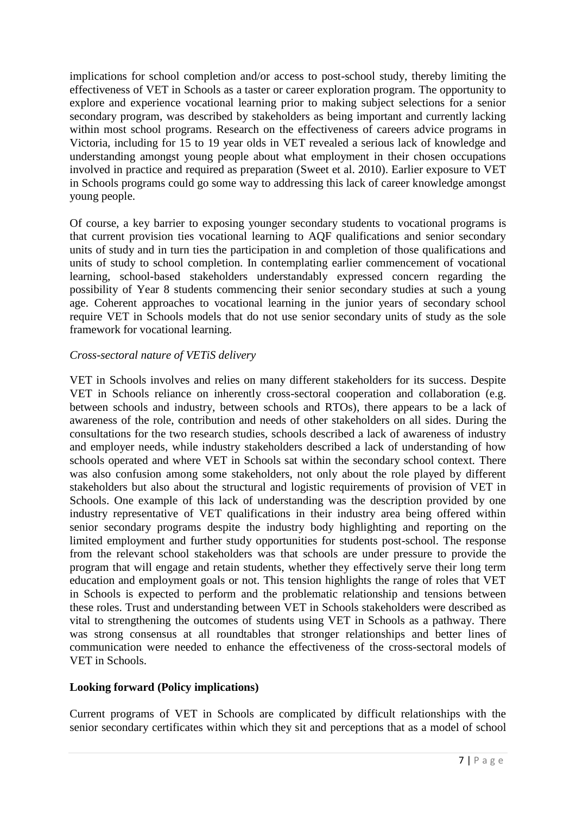implications for school completion and/or access to post-school study, thereby limiting the effectiveness of VET in Schools as a taster or career exploration program. The opportunity to explore and experience vocational learning prior to making subject selections for a senior secondary program, was described by stakeholders as being important and currently lacking within most school programs. Research on the effectiveness of careers advice programs in Victoria, including for 15 to 19 year olds in VET revealed a serious lack of knowledge and understanding amongst young people about what employment in their chosen occupations involved in practice and required as preparation (Sweet et al. 2010). Earlier exposure to VET in Schools programs could go some way to addressing this lack of career knowledge amongst young people.

Of course, a key barrier to exposing younger secondary students to vocational programs is that current provision ties vocational learning to AQF qualifications and senior secondary units of study and in turn ties the participation in and completion of those qualifications and units of study to school completion. In contemplating earlier commencement of vocational learning, school-based stakeholders understandably expressed concern regarding the possibility of Year 8 students commencing their senior secondary studies at such a young age. Coherent approaches to vocational learning in the junior years of secondary school require VET in Schools models that do not use senior secondary units of study as the sole framework for vocational learning.

## *Cross-sectoral nature of VETiS delivery*

VET in Schools involves and relies on many different stakeholders for its success. Despite VET in Schools reliance on inherently cross-sectoral cooperation and collaboration (e.g. between schools and industry, between schools and RTOs), there appears to be a lack of awareness of the role, contribution and needs of other stakeholders on all sides. During the consultations for the two research studies, schools described a lack of awareness of industry and employer needs, while industry stakeholders described a lack of understanding of how schools operated and where VET in Schools sat within the secondary school context. There was also confusion among some stakeholders, not only about the role played by different stakeholders but also about the structural and logistic requirements of provision of VET in Schools. One example of this lack of understanding was the description provided by one industry representative of VET qualifications in their industry area being offered within senior secondary programs despite the industry body highlighting and reporting on the limited employment and further study opportunities for students post-school. The response from the relevant school stakeholders was that schools are under pressure to provide the program that will engage and retain students, whether they effectively serve their long term education and employment goals or not. This tension highlights the range of roles that VET in Schools is expected to perform and the problematic relationship and tensions between these roles. Trust and understanding between VET in Schools stakeholders were described as vital to strengthening the outcomes of students using VET in Schools as a pathway. There was strong consensus at all roundtables that stronger relationships and better lines of communication were needed to enhance the effectiveness of the cross-sectoral models of VET in Schools.

## **Looking forward (Policy implications)**

Current programs of VET in Schools are complicated by difficult relationships with the senior secondary certificates within which they sit and perceptions that as a model of school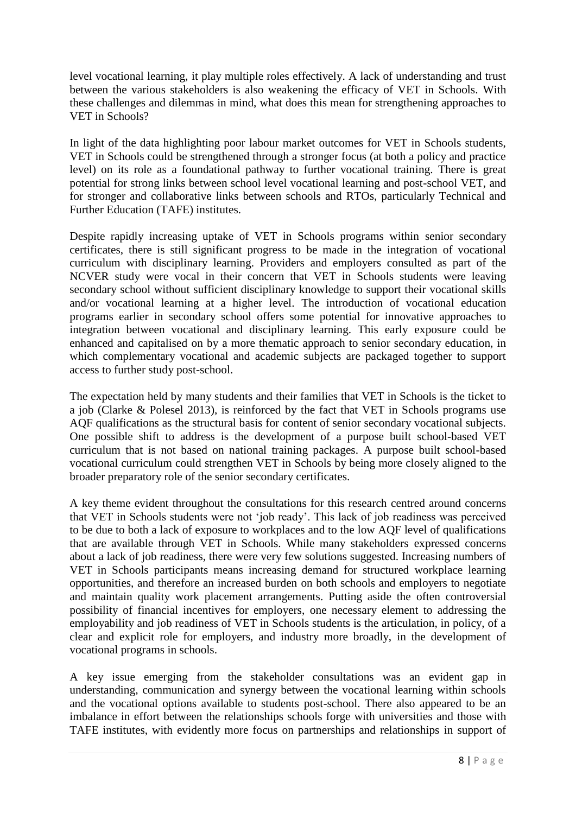level vocational learning, it play multiple roles effectively. A lack of understanding and trust between the various stakeholders is also weakening the efficacy of VET in Schools. With these challenges and dilemmas in mind, what does this mean for strengthening approaches to VET in Schools?

In light of the data highlighting poor labour market outcomes for VET in Schools students, VET in Schools could be strengthened through a stronger focus (at both a policy and practice level) on its role as a foundational pathway to further vocational training. There is great potential for strong links between school level vocational learning and post-school VET, and for stronger and collaborative links between schools and RTOs, particularly Technical and Further Education (TAFE) institutes.

Despite rapidly increasing uptake of VET in Schools programs within senior secondary certificates, there is still significant progress to be made in the integration of vocational curriculum with disciplinary learning. Providers and employers consulted as part of the NCVER study were vocal in their concern that VET in Schools students were leaving secondary school without sufficient disciplinary knowledge to support their vocational skills and/or vocational learning at a higher level. The introduction of vocational education programs earlier in secondary school offers some potential for innovative approaches to integration between vocational and disciplinary learning. This early exposure could be enhanced and capitalised on by a more thematic approach to senior secondary education, in which complementary vocational and academic subjects are packaged together to support access to further study post-school.

The expectation held by many students and their families that VET in Schools is the ticket to a job (Clarke & Polesel 2013), is reinforced by the fact that VET in Schools programs use AQF qualifications as the structural basis for content of senior secondary vocational subjects. One possible shift to address is the development of a purpose built school-based VET curriculum that is not based on national training packages. A purpose built school-based vocational curriculum could strengthen VET in Schools by being more closely aligned to the broader preparatory role of the senior secondary certificates.

A key theme evident throughout the consultations for this research centred around concerns that VET in Schools students were not 'job ready'. This lack of job readiness was perceived to be due to both a lack of exposure to workplaces and to the low AQF level of qualifications that are available through VET in Schools. While many stakeholders expressed concerns about a lack of job readiness, there were very few solutions suggested. Increasing numbers of VET in Schools participants means increasing demand for structured workplace learning opportunities, and therefore an increased burden on both schools and employers to negotiate and maintain quality work placement arrangements. Putting aside the often controversial possibility of financial incentives for employers, one necessary element to addressing the employability and job readiness of VET in Schools students is the articulation, in policy, of a clear and explicit role for employers, and industry more broadly, in the development of vocational programs in schools.

A key issue emerging from the stakeholder consultations was an evident gap in understanding, communication and synergy between the vocational learning within schools and the vocational options available to students post-school. There also appeared to be an imbalance in effort between the relationships schools forge with universities and those with TAFE institutes, with evidently more focus on partnerships and relationships in support of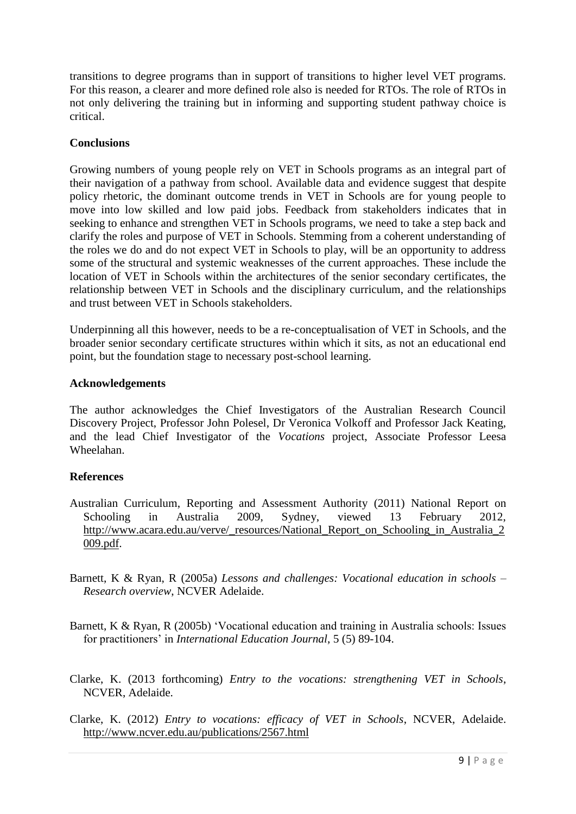transitions to degree programs than in support of transitions to higher level VET programs. For this reason, a clearer and more defined role also is needed for RTOs. The role of RTOs in not only delivering the training but in informing and supporting student pathway choice is critical.

## **Conclusions**

Growing numbers of young people rely on VET in Schools programs as an integral part of their navigation of a pathway from school. Available data and evidence suggest that despite policy rhetoric, the dominant outcome trends in VET in Schools are for young people to move into low skilled and low paid jobs. Feedback from stakeholders indicates that in seeking to enhance and strengthen VET in Schools programs, we need to take a step back and clarify the roles and purpose of VET in Schools. Stemming from a coherent understanding of the roles we do and do not expect VET in Schools to play, will be an opportunity to address some of the structural and systemic weaknesses of the current approaches. These include the location of VET in Schools within the architectures of the senior secondary certificates, the relationship between VET in Schools and the disciplinary curriculum, and the relationships and trust between VET in Schools stakeholders.

Underpinning all this however, needs to be a re-conceptualisation of VET in Schools, and the broader senior secondary certificate structures within which it sits, as not an educational end point, but the foundation stage to necessary post-school learning.

### **Acknowledgements**

The author acknowledges the Chief Investigators of the Australian Research Council Discovery Project, Professor John Polesel, Dr Veronica Volkoff and Professor Jack Keating, and the lead Chief Investigator of the *Vocations* project, Associate Professor Leesa Wheelahan.

## **References**

- Australian Curriculum, Reporting and Assessment Authority (2011) National Report on Schooling in Australia 2009, Sydney, viewed 13 February 2012, [http://www.acara.edu.au/verve/\\_resources/National\\_Report\\_on\\_Schooling\\_in\\_Australia\\_2](http://www.acara.edu.au/verve/_resources/National_Report_on_Schooling_in_Australia_2009.pdf) [009.pdf.](http://www.acara.edu.au/verve/_resources/National_Report_on_Schooling_in_Australia_2009.pdf)
- Barnett, K & Ryan, R (2005a) *Lessons and challenges: Vocational education in schools – Research overview*, NCVER Adelaide.
- Barnett, K & Ryan, R (2005b) 'Vocational education and training in Australia schools: Issues for practitioners' in *International Education Journal*, 5 (5) 89-104.
- Clarke, K. (2013 forthcoming) *Entry to the vocations: strengthening VET in Schools*, NCVER, Adelaide.
- Clarke, K. (2012) *Entry to vocations: efficacy of VET in Schools*, NCVER, Adelaide. <http://www.ncver.edu.au/publications/2567.html>